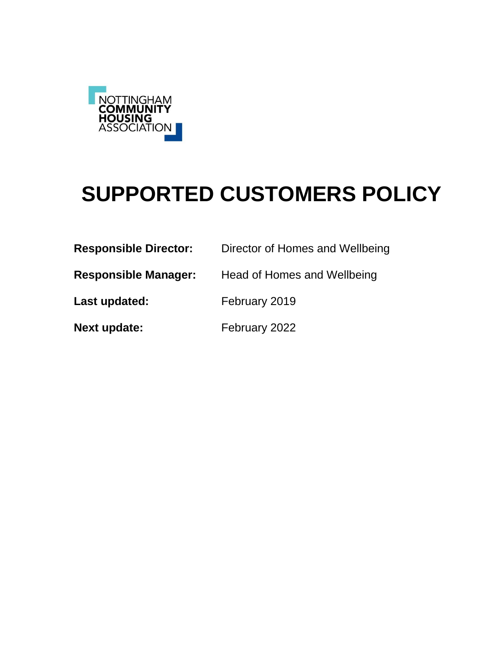

# **SUPPORTED CUSTOMERS POLICY**

| <b>Responsible Director:</b> | Director of Homes and Wellbeing |
|------------------------------|---------------------------------|
| <b>Responsible Manager:</b>  | Head of Homes and Wellbeing     |
| Last updated:                | February 2019                   |
| <b>Next update:</b>          | February 2022                   |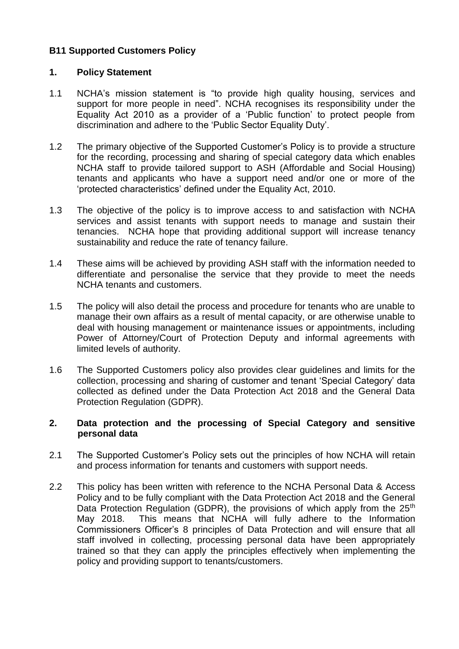#### **B11 Supported Customers Policy**

#### **1. Policy Statement**

- 1.1 NCHA's mission statement is "to provide high quality housing, services and support for more people in need". NCHA recognises its responsibility under the Equality Act 2010 as a provider of a 'Public function' to protect people from discrimination and adhere to the 'Public Sector Equality Duty'.
- 1.2 The primary objective of the Supported Customer's Policy is to provide a structure for the recording, processing and sharing of special category data which enables NCHA staff to provide tailored support to ASH (Affordable and Social Housing) tenants and applicants who have a support need and/or one or more of the 'protected characteristics' defined under the Equality Act, 2010.
- 1.3 The objective of the policy is to improve access to and satisfaction with NCHA services and assist tenants with support needs to manage and sustain their tenancies. NCHA hope that providing additional support will increase tenancy sustainability and reduce the rate of tenancy failure.
- 1.4 These aims will be achieved by providing ASH staff with the information needed to differentiate and personalise the service that they provide to meet the needs NCHA tenants and customers.
- 1.5 The policy will also detail the process and procedure for tenants who are unable to manage their own affairs as a result of mental capacity, or are otherwise unable to deal with housing management or maintenance issues or appointments, including Power of Attorney/Court of Protection Deputy and informal agreements with limited levels of authority.
- 1.6 The Supported Customers policy also provides clear guidelines and limits for the collection, processing and sharing of customer and tenant 'Special Category' data collected as defined under the Data Protection Act 2018 and the General Data Protection Regulation (GDPR).

#### **2. Data protection and the processing of Special Category and sensitive personal data**

- 2.1 The Supported Customer's Policy sets out the principles of how NCHA will retain and process information for tenants and customers with support needs.
- 2.2 This policy has been written with reference to the NCHA Personal Data & Access Policy and to be fully compliant with the Data Protection Act 2018 and the General Data Protection Regulation (GDPR), the provisions of which apply from the 25<sup>th</sup> May 2018. This means that NCHA will fully adhere to the Information Commissioners Officer's 8 principles of Data Protection and will ensure that all staff involved in collecting, processing personal data have been appropriately trained so that they can apply the principles effectively when implementing the policy and providing support to tenants/customers.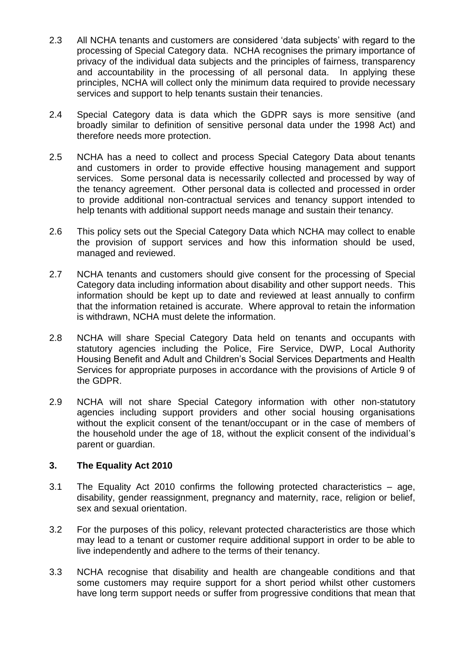- 2.3 All NCHA tenants and customers are considered 'data subjects' with regard to the processing of Special Category data. NCHA recognises the primary importance of privacy of the individual data subjects and the principles of fairness, transparency and accountability in the processing of all personal data. In applying these principles, NCHA will collect only the minimum data required to provide necessary services and support to help tenants sustain their tenancies.
- 2.4 Special Category data is data which the GDPR says is more sensitive (and broadly similar to definition of sensitive personal data under the 1998 Act) and therefore needs more protection.
- 2.5 NCHA has a need to collect and process Special Category Data about tenants and customers in order to provide effective housing management and support services. Some personal data is necessarily collected and processed by way of the tenancy agreement. Other personal data is collected and processed in order to provide additional non-contractual services and tenancy support intended to help tenants with additional support needs manage and sustain their tenancy.
- 2.6 This policy sets out the Special Category Data which NCHA may collect to enable the provision of support services and how this information should be used, managed and reviewed.
- 2.7 NCHA tenants and customers should give consent for the processing of Special Category data including information about disability and other support needs. This information should be kept up to date and reviewed at least annually to confirm that the information retained is accurate. Where approval to retain the information is withdrawn, NCHA must delete the information.
- 2.8 NCHA will share Special Category Data held on tenants and occupants with statutory agencies including the Police, Fire Service, DWP, Local Authority Housing Benefit and Adult and Children's Social Services Departments and Health Services for appropriate purposes in accordance with the provisions of Article 9 of the GDPR.
- 2.9 NCHA will not share Special Category information with other non-statutory agencies including support providers and other social housing organisations without the explicit consent of the tenant/occupant or in the case of members of the household under the age of 18, without the explicit consent of the individual's parent or guardian.

#### **3. The Equality Act 2010**

- 3.1 The Equality Act 2010 confirms the following protected characteristics age, disability, gender reassignment, pregnancy and maternity, race, religion or belief, sex and sexual orientation.
- 3.2 For the purposes of this policy, relevant protected characteristics are those which may lead to a tenant or customer require additional support in order to be able to live independently and adhere to the terms of their tenancy.
- 3.3 NCHA recognise that disability and health are changeable conditions and that some customers may require support for a short period whilst other customers have long term support needs or suffer from progressive conditions that mean that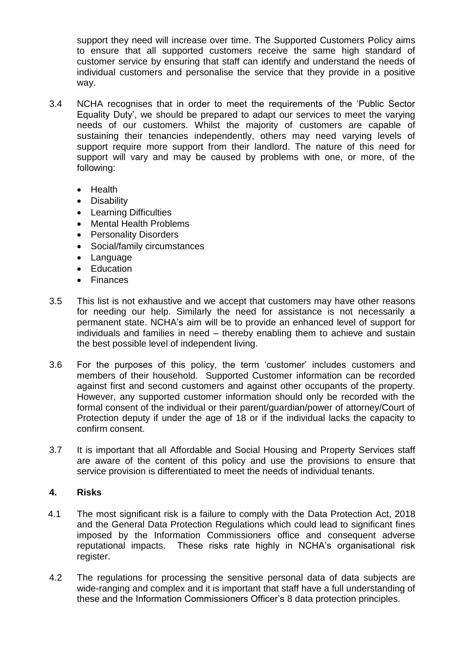support they need will increase over time. The Supported Customers Policy aims to ensure that all supported customers receive the same high standard of customer service by ensuring that staff can identify and understand the needs of individual customers and personalise the service that they provide in a positive way.

- 3.4 NCHA recognises that in order to meet the requirements of the 'Public Sector Equality Duty', we should be prepared to adapt our services to meet the varying needs of our customers. Whilst the majority of customers are capable of sustaining their tenancies independently, others may need varying levels of support require more support from their landlord. The nature of this need for support will vary and may be caused by problems with one, or more, of the following:
	- Health
	- Disability
	- Learning Difficulties
	- Mental Health Problems
	- Personality Disorders
	- Social/family circumstances
	- Language
	- Education
	- Finances
- 3.5 This list is not exhaustive and we accept that customers may have other reasons for needing our help. Similarly the need for assistance is not necessarily a permanent state. NCHA's aim will be to provide an enhanced level of support for individuals and families in need – thereby enabling them to achieve and sustain the best possible level of independent living.
- 3.6 For the purposes of this policy, the term 'customer' includes customers and members of their household. Supported Customer information can be recorded against first and second customers and against other occupants of the property. However, any supported customer information should only be recorded with the formal consent of the individual or their parent/guardian/power of attorney/Court of Protection deputy if under the age of 18 or if the individual lacks the capacity to confirm consent.
- 3.7 It is important that all Affordable and Social Housing and Property Services staff are aware of the content of this policy and use the provisions to ensure that service provision is differentiated to meet the needs of individual tenants.

#### **4. Risks**

- 4.1 The most significant risk is a failure to comply with the Data Protection Act, 2018 and the General Data Protection Regulations which could lead to significant fines imposed by the Information Commissioners office and consequent adverse reputational impacts. These risks rate highly in NCHA's organisational risk register.
- 4.2 The regulations for processing the sensitive personal data of data subjects are wide-ranging and complex and it is important that staff have a full understanding of these and the Information Commissioners Officer's 8 data protection principles.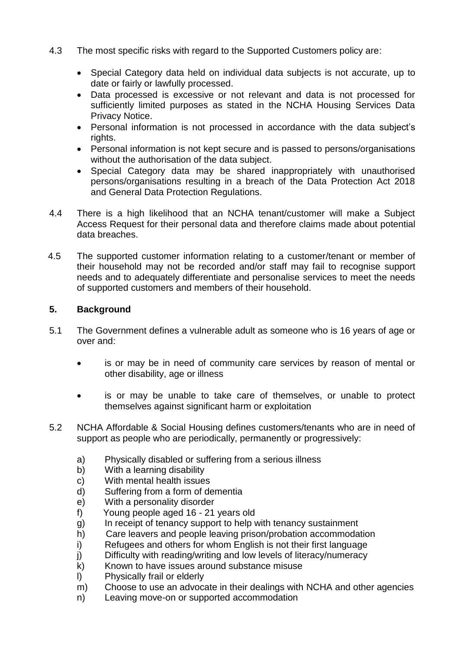- 4.3 The most specific risks with regard to the Supported Customers policy are:
	- Special Category data held on individual data subjects is not accurate, up to date or fairly or lawfully processed.
	- Data processed is excessive or not relevant and data is not processed for sufficiently limited purposes as stated in the NCHA Housing Services Data Privacy Notice.
	- Personal information is not processed in accordance with the data subject's rights.
	- Personal information is not kept secure and is passed to persons/organisations without the authorisation of the data subject.
	- Special Category data may be shared inappropriately with unauthorised persons/organisations resulting in a breach of the Data Protection Act 2018 and General Data Protection Regulations.
- 4.4 There is a high likelihood that an NCHA tenant/customer will make a Subject Access Request for their personal data and therefore claims made about potential data breaches.
- 4.5 The supported customer information relating to a customer/tenant or member of their household may not be recorded and/or staff may fail to recognise support needs and to adequately differentiate and personalise services to meet the needs of supported customers and members of their household.

#### **5. Background**

- 5.1 The Government defines a vulnerable adult as someone who is 16 years of age or over and:
	- is or may be in need of community care services by reason of mental or other disability, age or illness
	- is or may be unable to take care of themselves, or unable to protect themselves against significant harm or exploitation
- 5.2 NCHA Affordable & Social Housing defines customers/tenants who are in need of support as people who are periodically, permanently or progressively:
	- a) Physically disabled or suffering from a serious illness
	- b) With a learning disability
	- c) With mental health issues
	- d) Suffering from a form of dementia
	- e) With a personality disorder
	- f) Young people aged 16 21 years old
	- g) In receipt of tenancy support to help with tenancy sustainment
	- h) Care leavers and people leaving prison/probation accommodation
	- i) Refugees and others for whom English is not their first language
	- j) Difficulty with reading/writing and low levels of literacy/numeracy
	- k) Known to have issues around substance misuse
	- l) Physically frail or elderly
	- m) Choose to use an advocate in their dealings with NCHA and other agencies
	- n) Leaving move-on or supported accommodation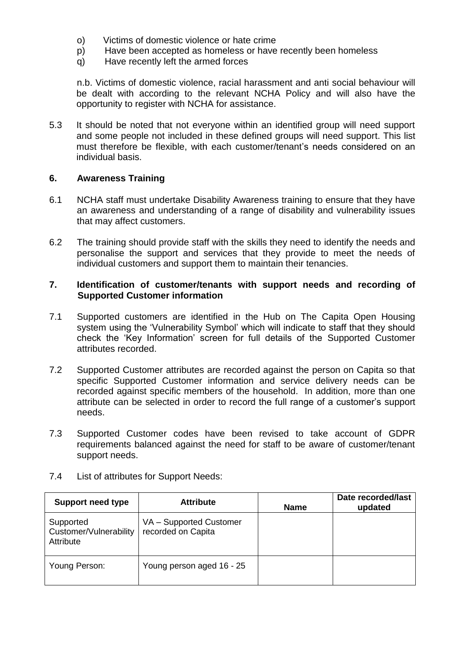- o) Victims of domestic violence or hate crime
- p) Have been accepted as homeless or have recently been homeless
- q) Have recently left the armed forces

n.b. Victims of domestic violence, racial harassment and anti social behaviour will be dealt with according to the relevant NCHA Policy and will also have the opportunity to register with NCHA for assistance.

5.3 It should be noted that not everyone within an identified group will need support and some people not included in these defined groups will need support. This list must therefore be flexible, with each customer/tenant's needs considered on an individual basis.

#### **6. Awareness Training**

- 6.1 NCHA staff must undertake Disability Awareness training to ensure that they have an awareness and understanding of a range of disability and vulnerability issues that may affect customers.
- 6.2 The training should provide staff with the skills they need to identify the needs and personalise the support and services that they provide to meet the needs of individual customers and support them to maintain their tenancies.

#### **7. Identification of customer/tenants with support needs and recording of Supported Customer information**

- 7.1 Supported customers are identified in the Hub on The Capita Open Housing system using the 'Vulnerability Symbol' which will indicate to staff that they should check the 'Key Information' screen for full details of the Supported Customer attributes recorded.
- 7.2 Supported Customer attributes are recorded against the person on Capita so that specific Supported Customer information and service delivery needs can be recorded against specific members of the household. In addition, more than one attribute can be selected in order to record the full range of a customer's support needs.
- 7.3 Supported Customer codes have been revised to take account of GDPR requirements balanced against the need for staff to be aware of customer/tenant support needs.

| <b>Support need type</b>                         | <b>Attribute</b>                              | <b>Name</b> | Date recorded/last<br>updated |
|--------------------------------------------------|-----------------------------------------------|-------------|-------------------------------|
| Supported<br>Customer/Vulnerability<br>Attribute | VA - Supported Customer<br>recorded on Capita |             |                               |
| Young Person:                                    | Young person aged 16 - 25                     |             |                               |

7.4 List of attributes for Support Needs: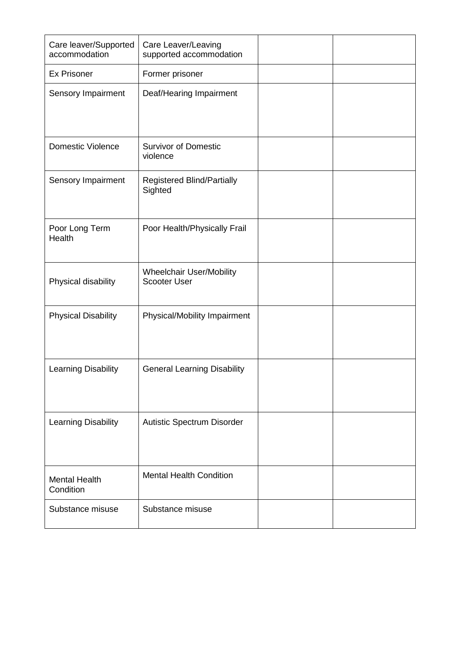| Care leaver/Supported<br>accommodation | Care Leaver/Leaving<br>supported accommodation  |  |
|----------------------------------------|-------------------------------------------------|--|
| <b>Ex Prisoner</b>                     | Former prisoner                                 |  |
| Sensory Impairment                     | Deaf/Hearing Impairment                         |  |
| <b>Domestic Violence</b>               | <b>Survivor of Domestic</b><br>violence         |  |
| Sensory Impairment                     | Registered Blind/Partially<br>Sighted           |  |
| Poor Long Term<br>Health               | Poor Health/Physically Frail                    |  |
| Physical disability                    | Wheelchair User/Mobility<br><b>Scooter User</b> |  |
| <b>Physical Disability</b>             | Physical/Mobility Impairment                    |  |
| Learning Disability                    | <b>General Learning Disability</b>              |  |
| <b>Learning Disability</b>             | Autistic Spectrum Disorder                      |  |
| <b>Mental Health</b><br>Condition      | <b>Mental Health Condition</b>                  |  |
| Substance misuse                       | Substance misuse                                |  |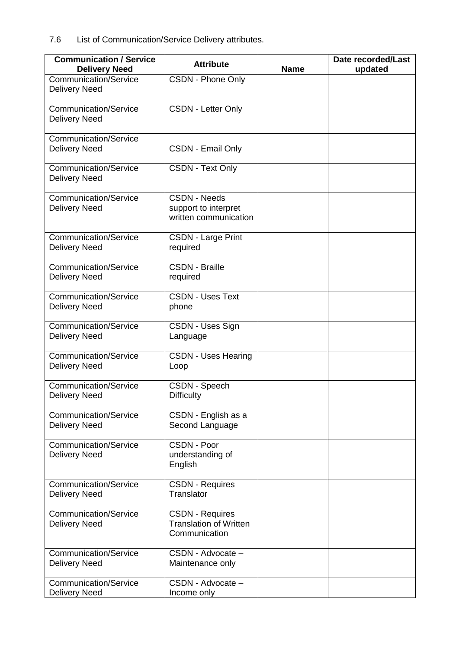7.6 List of Communication/Service Delivery attributes.

| <b>Communication / Service</b>                       | <b>Attribute</b>                                                         |             | Date recorded/Last |
|------------------------------------------------------|--------------------------------------------------------------------------|-------------|--------------------|
| <b>Delivery Need</b>                                 |                                                                          | <b>Name</b> | updated            |
| <b>Communication/Service</b><br><b>Delivery Need</b> | <b>CSDN - Phone Only</b>                                                 |             |                    |
| Communication/Service<br><b>Delivery Need</b>        | <b>CSDN - Letter Only</b>                                                |             |                    |
| <b>Communication/Service</b><br><b>Delivery Need</b> | <b>CSDN - Email Only</b>                                                 |             |                    |
| <b>Communication/Service</b><br><b>Delivery Need</b> | <b>CSDN - Text Only</b>                                                  |             |                    |
| <b>Communication/Service</b><br><b>Delivery Need</b> | <b>CSDN - Needs</b><br>support to interpret<br>written communication     |             |                    |
| <b>Communication/Service</b><br><b>Delivery Need</b> | <b>CSDN - Large Print</b><br>required                                    |             |                    |
| <b>Communication/Service</b><br><b>Delivery Need</b> | <b>CSDN - Braille</b><br>required                                        |             |                    |
| <b>Communication/Service</b><br><b>Delivery Need</b> | <b>CSDN - Uses Text</b><br>phone                                         |             |                    |
| <b>Communication/Service</b><br><b>Delivery Need</b> | CSDN - Uses Sign<br>Language                                             |             |                    |
| <b>Communication/Service</b><br><b>Delivery Need</b> | <b>CSDN - Uses Hearing</b><br>Loop                                       |             |                    |
| <b>Communication/Service</b><br><b>Delivery Need</b> | CSDN - Speech<br><b>Difficulty</b>                                       |             |                    |
| <b>Communication/Service</b><br><b>Delivery Need</b> | CSDN - English as a<br>Second Language                                   |             |                    |
| <b>Communication/Service</b><br><b>Delivery Need</b> | CSDN - Poor<br>understanding of<br>English                               |             |                    |
| <b>Communication/Service</b><br><b>Delivery Need</b> | <b>CSDN - Requires</b><br>Translator                                     |             |                    |
| <b>Communication/Service</b><br><b>Delivery Need</b> | <b>CSDN - Requires</b><br><b>Translation of Written</b><br>Communication |             |                    |
| <b>Communication/Service</b><br><b>Delivery Need</b> | CSDN - Advocate -<br>Maintenance only                                    |             |                    |
| <b>Communication/Service</b><br><b>Delivery Need</b> | CSDN - Advocate -<br>Income only                                         |             |                    |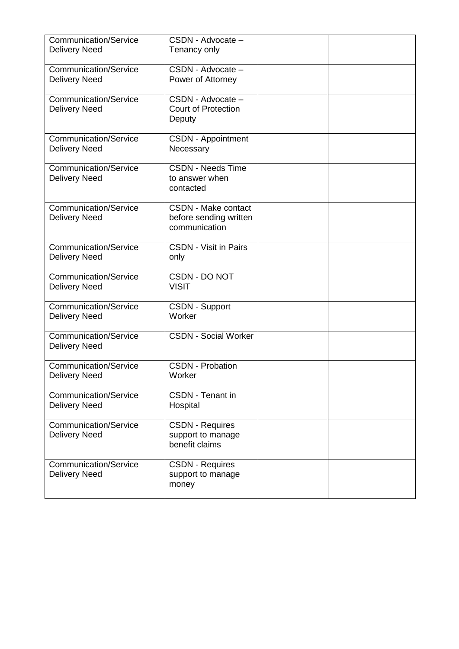| <b>Communication/Service</b><br><b>Delivery Need</b> | CSDN - Advocate -<br>Tenancy only                                     |  |
|------------------------------------------------------|-----------------------------------------------------------------------|--|
| <b>Communication/Service</b><br><b>Delivery Need</b> | CSDN - Advocate -<br>Power of Attorney                                |  |
| <b>Communication/Service</b><br><b>Delivery Need</b> | CSDN - Advocate -<br><b>Court of Protection</b><br>Deputy             |  |
| <b>Communication/Service</b><br><b>Delivery Need</b> | <b>CSDN - Appointment</b><br>Necessary                                |  |
| <b>Communication/Service</b><br><b>Delivery Need</b> | <b>CSDN - Needs Time</b><br>to answer when<br>contacted               |  |
| <b>Communication/Service</b><br><b>Delivery Need</b> | <b>CSDN - Make contact</b><br>before sending written<br>communication |  |
| <b>Communication/Service</b><br><b>Delivery Need</b> | <b>CSDN - Visit in Pairs</b><br>only                                  |  |
| <b>Communication/Service</b><br><b>Delivery Need</b> | CSDN - DO NOT<br><b>VISIT</b>                                         |  |
| <b>Communication/Service</b><br><b>Delivery Need</b> | <b>CSDN - Support</b><br>Worker                                       |  |
| Communication/Service<br><b>Delivery Need</b>        | <b>CSDN - Social Worker</b>                                           |  |
| <b>Communication/Service</b><br><b>Delivery Need</b> | <b>CSDN - Probation</b><br>Worker                                     |  |
| <b>Communication/Service</b><br><b>Delivery Need</b> | <b>CSDN</b> - Tenant in<br>Hospital                                   |  |
| <b>Communication/Service</b><br><b>Delivery Need</b> | <b>CSDN - Requires</b><br>support to manage<br>benefit claims         |  |
| Communication/Service<br><b>Delivery Need</b>        | <b>CSDN - Requires</b><br>support to manage<br>money                  |  |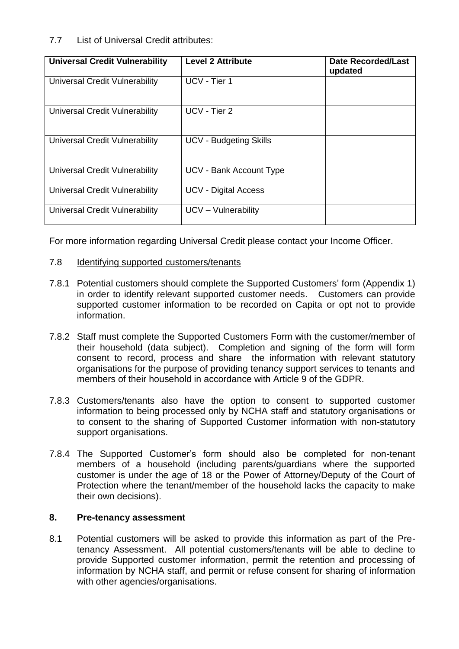#### 7.7 List of Universal Credit attributes:

| <b>Universal Credit Vulnerability</b> | <b>Level 2 Attribute</b>      | <b>Date Recorded/Last</b><br>updated |
|---------------------------------------|-------------------------------|--------------------------------------|
| Universal Credit Vulnerability        | UCV - Tier 1                  |                                      |
| Universal Credit Vulnerability        | UCV - Tier 2                  |                                      |
| Universal Credit Vulnerability        | <b>UCV - Budgeting Skills</b> |                                      |
| Universal Credit Vulnerability        | UCV - Bank Account Type       |                                      |
| Universal Credit Vulnerability        | <b>UCV - Digital Access</b>   |                                      |
| Universal Credit Vulnerability        | UCV - Vulnerability           |                                      |

For more information regarding Universal Credit please contact your Income Officer.

#### 7.8 Identifying supported customers/tenants

- 7.8.1 Potential customers should complete the Supported Customers' form (Appendix 1) in order to identify relevant supported customer needs. Customers can provide supported customer information to be recorded on Capita or opt not to provide information.
- 7.8.2 Staff must complete the Supported Customers Form with the customer/member of their household (data subject). Completion and signing of the form will form consent to record, process and share the information with relevant statutory organisations for the purpose of providing tenancy support services to tenants and members of their household in accordance with Article 9 of the GDPR.
- 7.8.3 Customers/tenants also have the option to consent to supported customer information to being processed only by NCHA staff and statutory organisations or to consent to the sharing of Supported Customer information with non-statutory support organisations.
- 7.8.4 The Supported Customer's form should also be completed for non-tenant members of a household (including parents/guardians where the supported customer is under the age of 18 or the Power of Attorney/Deputy of the Court of Protection where the tenant/member of the household lacks the capacity to make their own decisions).

#### **8. Pre-tenancy assessment**

8.1 Potential customers will be asked to provide this information as part of the Pretenancy Assessment. All potential customers/tenants will be able to decline to provide Supported customer information, permit the retention and processing of information by NCHA staff, and permit or refuse consent for sharing of information with other agencies/organisations.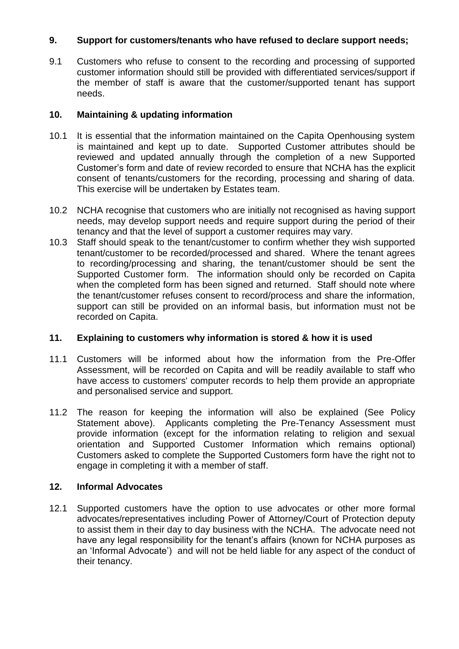#### **9. Support for customers/tenants who have refused to declare support needs;**

9.1 Customers who refuse to consent to the recording and processing of supported customer information should still be provided with differentiated services/support if the member of staff is aware that the customer/supported tenant has support needs.

#### **10. Maintaining & updating information**

- 10.1 It is essential that the information maintained on the Capita Openhousing system is maintained and kept up to date. Supported Customer attributes should be reviewed and updated annually through the completion of a new Supported Customer's form and date of review recorded to ensure that NCHA has the explicit consent of tenants/customers for the recording, processing and sharing of data. This exercise will be undertaken by Estates team.
- 10.2 NCHA recognise that customers who are initially not recognised as having support needs, may develop support needs and require support during the period of their tenancy and that the level of support a customer requires may vary.
- 10.3 Staff should speak to the tenant/customer to confirm whether they wish supported tenant/customer to be recorded/processed and shared. Where the tenant agrees to recording/processing and sharing, the tenant/customer should be sent the Supported Customer form. The information should only be recorded on Capita when the completed form has been signed and returned. Staff should note where the tenant/customer refuses consent to record/process and share the information, support can still be provided on an informal basis, but information must not be recorded on Capita.

#### **11. Explaining to customers why information is stored & how it is used**

- 11.1 Customers will be informed about how the information from the Pre-Offer Assessment, will be recorded on Capita and will be readily available to staff who have access to customers' computer records to help them provide an appropriate and personalised service and support.
- 11.2 The reason for keeping the information will also be explained (See Policy Statement above). Applicants completing the Pre-Tenancy Assessment must provide information (except for the information relating to religion and sexual orientation and Supported Customer Information which remains optional) Customers asked to complete the Supported Customers form have the right not to engage in completing it with a member of staff.

#### **12. Informal Advocates**

12.1 Supported customers have the option to use advocates or other more formal advocates/representatives including Power of Attorney/Court of Protection deputy to assist them in their day to day business with the NCHA. The advocate need not have any legal responsibility for the tenant's affairs (known for NCHA purposes as an 'Informal Advocate') and will not be held liable for any aspect of the conduct of their tenancy.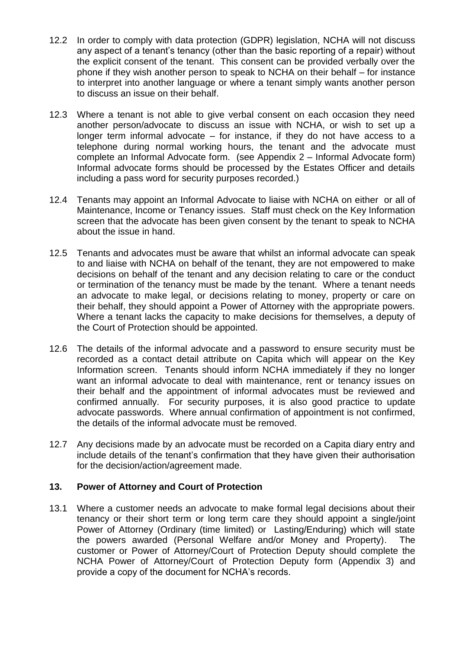- 12.2 In order to comply with data protection (GDPR) legislation, NCHA will not discuss any aspect of a tenant's tenancy (other than the basic reporting of a repair) without the explicit consent of the tenant. This consent can be provided verbally over the phone if they wish another person to speak to NCHA on their behalf – for instance to interpret into another language or where a tenant simply wants another person to discuss an issue on their behalf.
- 12.3 Where a tenant is not able to give verbal consent on each occasion they need another person/advocate to discuss an issue with NCHA, or wish to set up a longer term informal advocate – for instance, if they do not have access to a telephone during normal working hours, the tenant and the advocate must complete an Informal Advocate form. (see Appendix 2 – Informal Advocate form) Informal advocate forms should be processed by the Estates Officer and details including a pass word for security purposes recorded.)
- 12.4 Tenants may appoint an Informal Advocate to liaise with NCHA on either or all of Maintenance, Income or Tenancy issues. Staff must check on the Key Information screen that the advocate has been given consent by the tenant to speak to NCHA about the issue in hand.
- 12.5 Tenants and advocates must be aware that whilst an informal advocate can speak to and liaise with NCHA on behalf of the tenant, they are not empowered to make decisions on behalf of the tenant and any decision relating to care or the conduct or termination of the tenancy must be made by the tenant. Where a tenant needs an advocate to make legal, or decisions relating to money, property or care on their behalf, they should appoint a Power of Attorney with the appropriate powers. Where a tenant lacks the capacity to make decisions for themselves, a deputy of the Court of Protection should be appointed.
- 12.6 The details of the informal advocate and a password to ensure security must be recorded as a contact detail attribute on Capita which will appear on the Key Information screen. Tenants should inform NCHA immediately if they no longer want an informal advocate to deal with maintenance, rent or tenancy issues on their behalf and the appointment of informal advocates must be reviewed and confirmed annually. For security purposes, it is also good practice to update advocate passwords. Where annual confirmation of appointment is not confirmed, the details of the informal advocate must be removed.
- 12.7 Any decisions made by an advocate must be recorded on a Capita diary entry and include details of the tenant's confirmation that they have given their authorisation for the decision/action/agreement made.

#### **13. Power of Attorney and Court of Protection**

13.1 Where a customer needs an advocate to make formal legal decisions about their tenancy or their short term or long term care they should appoint a single/joint Power of Attorney (Ordinary (time limited) or Lasting/Enduring) which will state the powers awarded (Personal Welfare and/or Money and Property). The customer or Power of Attorney/Court of Protection Deputy should complete the NCHA Power of Attorney/Court of Protection Deputy form (Appendix 3) and provide a copy of the document for NCHA's records.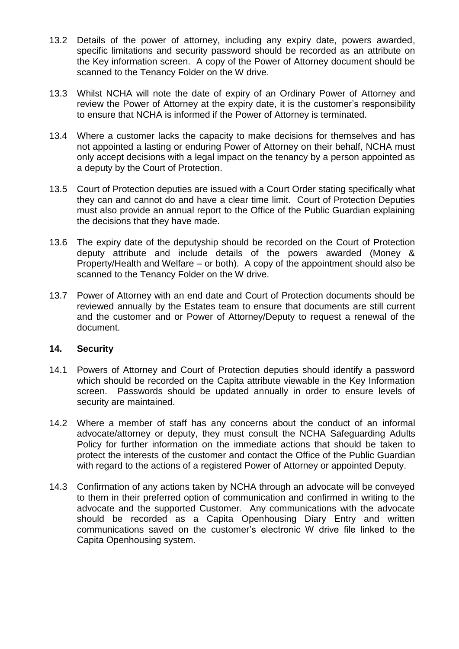- 13.2 Details of the power of attorney, including any expiry date, powers awarded, specific limitations and security password should be recorded as an attribute on the Key information screen. A copy of the Power of Attorney document should be scanned to the Tenancy Folder on the W drive.
- 13.3 Whilst NCHA will note the date of expiry of an Ordinary Power of Attorney and review the Power of Attorney at the expiry date, it is the customer's responsibility to ensure that NCHA is informed if the Power of Attorney is terminated.
- 13.4 Where a customer lacks the capacity to make decisions for themselves and has not appointed a lasting or enduring Power of Attorney on their behalf, NCHA must only accept decisions with a legal impact on the tenancy by a person appointed as a deputy by the Court of Protection.
- 13.5 Court of Protection deputies are issued with a Court Order stating specifically what they can and cannot do and have a clear time limit. Court of Protection Deputies must also provide an annual report to the Office of the Public Guardian explaining the decisions that they have made.
- 13.6 The expiry date of the deputyship should be recorded on the Court of Protection deputy attribute and include details of the powers awarded (Money & Property/Health and Welfare – or both). A copy of the appointment should also be scanned to the Tenancy Folder on the W drive.
- 13.7 Power of Attorney with an end date and Court of Protection documents should be reviewed annually by the Estates team to ensure that documents are still current and the customer and or Power of Attorney/Deputy to request a renewal of the document.

#### **14. Security**

- 14.1 Powers of Attorney and Court of Protection deputies should identify a password which should be recorded on the Capita attribute viewable in the Key Information screen. Passwords should be updated annually in order to ensure levels of security are maintained.
- 14.2 Where a member of staff has any concerns about the conduct of an informal advocate/attorney or deputy, they must consult the NCHA Safeguarding Adults Policy for further information on the immediate actions that should be taken to protect the interests of the customer and contact the Office of the Public Guardian with regard to the actions of a registered Power of Attorney or appointed Deputy.
- 14.3 Confirmation of any actions taken by NCHA through an advocate will be conveyed to them in their preferred option of communication and confirmed in writing to the advocate and the supported Customer. Any communications with the advocate should be recorded as a Capita Openhousing Diary Entry and written communications saved on the customer's electronic W drive file linked to the Capita Openhousing system.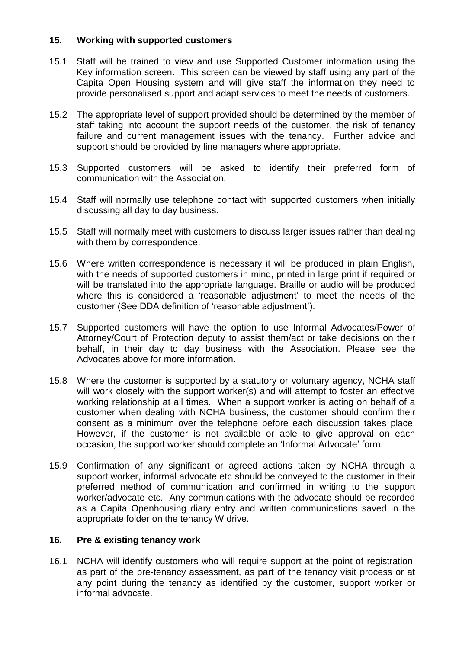#### **15. Working with supported customers**

- 15.1 Staff will be trained to view and use Supported Customer information using the Key information screen. This screen can be viewed by staff using any part of the Capita Open Housing system and will give staff the information they need to provide personalised support and adapt services to meet the needs of customers.
- 15.2 The appropriate level of support provided should be determined by the member of staff taking into account the support needs of the customer, the risk of tenancy failure and current management issues with the tenancy. Further advice and support should be provided by line managers where appropriate.
- 15.3 Supported customers will be asked to identify their preferred form of communication with the Association.
- 15.4 Staff will normally use telephone contact with supported customers when initially discussing all day to day business.
- 15.5 Staff will normally meet with customers to discuss larger issues rather than dealing with them by correspondence.
- 15.6 Where written correspondence is necessary it will be produced in plain English, with the needs of supported customers in mind, printed in large print if required or will be translated into the appropriate language. Braille or audio will be produced where this is considered a 'reasonable adjustment' to meet the needs of the customer (See DDA definition of 'reasonable adjustment').
- 15.7 Supported customers will have the option to use Informal Advocates/Power of Attorney/Court of Protection deputy to assist them/act or take decisions on their behalf, in their day to day business with the Association. Please see the Advocates above for more information.
- 15.8 Where the customer is supported by a statutory or voluntary agency, NCHA staff will work closely with the support worker(s) and will attempt to foster an effective working relationship at all times. When a support worker is acting on behalf of a customer when dealing with NCHA business, the customer should confirm their consent as a minimum over the telephone before each discussion takes place. However, if the customer is not available or able to give approval on each occasion, the support worker should complete an 'Informal Advocate' form.
- 15.9 Confirmation of any significant or agreed actions taken by NCHA through a support worker, informal advocate etc should be conveyed to the customer in their preferred method of communication and confirmed in writing to the support worker/advocate etc. Any communications with the advocate should be recorded as a Capita Openhousing diary entry and written communications saved in the appropriate folder on the tenancy W drive.

#### **16. Pre & existing tenancy work**

16.1 NCHA will identify customers who will require support at the point of registration, as part of the pre-tenancy assessment, as part of the tenancy visit process or at any point during the tenancy as identified by the customer, support worker or informal advocate.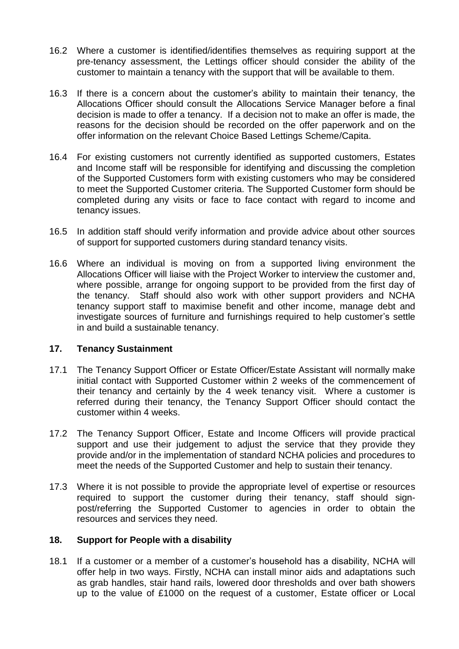- 16.2 Where a customer is identified/identifies themselves as requiring support at the pre-tenancy assessment, the Lettings officer should consider the ability of the customer to maintain a tenancy with the support that will be available to them.
- 16.3 If there is a concern about the customer's ability to maintain their tenancy, the Allocations Officer should consult the Allocations Service Manager before a final decision is made to offer a tenancy. If a decision not to make an offer is made, the reasons for the decision should be recorded on the offer paperwork and on the offer information on the relevant Choice Based Lettings Scheme/Capita.
- 16.4 For existing customers not currently identified as supported customers, Estates and Income staff will be responsible for identifying and discussing the completion of the Supported Customers form with existing customers who may be considered to meet the Supported Customer criteria. The Supported Customer form should be completed during any visits or face to face contact with regard to income and tenancy issues.
- 16.5 In addition staff should verify information and provide advice about other sources of support for supported customers during standard tenancy visits.
- 16.6 Where an individual is moving on from a supported living environment the Allocations Officer will liaise with the Project Worker to interview the customer and, where possible, arrange for ongoing support to be provided from the first day of the tenancy. Staff should also work with other support providers and NCHA tenancy support staff to maximise benefit and other income, manage debt and investigate sources of furniture and furnishings required to help customer's settle in and build a sustainable tenancy.

#### **17. Tenancy Sustainment**

- 17.1 The Tenancy Support Officer or Estate Officer/Estate Assistant will normally make initial contact with Supported Customer within 2 weeks of the commencement of their tenancy and certainly by the 4 week tenancy visit. Where a customer is referred during their tenancy, the Tenancy Support Officer should contact the customer within 4 weeks.
- 17.2 The Tenancy Support Officer, Estate and Income Officers will provide practical support and use their judgement to adjust the service that they provide they provide and/or in the implementation of standard NCHA policies and procedures to meet the needs of the Supported Customer and help to sustain their tenancy.
- 17.3 Where it is not possible to provide the appropriate level of expertise or resources required to support the customer during their tenancy, staff should signpost/referring the Supported Customer to agencies in order to obtain the resources and services they need.

#### **18. Support for People with a disability**

18.1 If a customer or a member of a customer's household has a disability, NCHA will offer help in two ways. Firstly, NCHA can install minor aids and adaptations such as grab handles, stair hand rails, lowered door thresholds and over bath showers up to the value of £1000 on the request of a customer, Estate officer or Local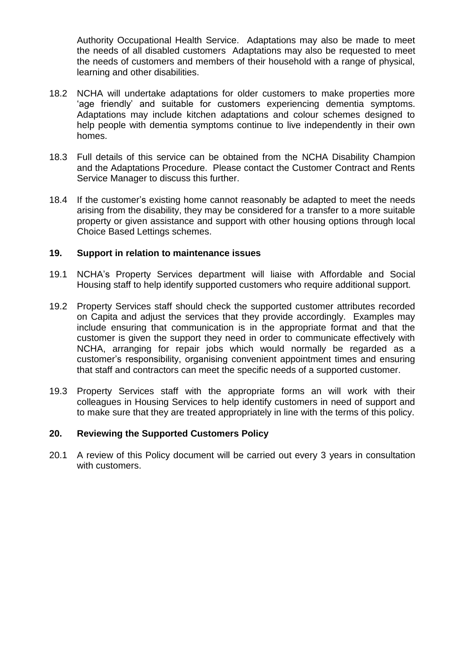Authority Occupational Health Service. Adaptations may also be made to meet the needs of all disabled customers Adaptations may also be requested to meet the needs of customers and members of their household with a range of physical, learning and other disabilities.

- 18.2 NCHA will undertake adaptations for older customers to make properties more 'age friendly' and suitable for customers experiencing dementia symptoms. Adaptations may include kitchen adaptations and colour schemes designed to help people with dementia symptoms continue to live independently in their own homes.
- 18.3 Full details of this service can be obtained from the NCHA Disability Champion and the Adaptations Procedure. Please contact the Customer Contract and Rents Service Manager to discuss this further.
- 18.4 If the customer's existing home cannot reasonably be adapted to meet the needs arising from the disability, they may be considered for a transfer to a more suitable property or given assistance and support with other housing options through local Choice Based Lettings schemes.

#### **19. Support in relation to maintenance issues**

- 19.1 NCHA's Property Services department will liaise with Affordable and Social Housing staff to help identify supported customers who require additional support.
- 19.2 Property Services staff should check the supported customer attributes recorded on Capita and adjust the services that they provide accordingly. Examples may include ensuring that communication is in the appropriate format and that the customer is given the support they need in order to communicate effectively with NCHA, arranging for repair jobs which would normally be regarded as a customer's responsibility, organising convenient appointment times and ensuring that staff and contractors can meet the specific needs of a supported customer.
- 19.3 Property Services staff with the appropriate forms an will work with their colleagues in Housing Services to help identify customers in need of support and to make sure that they are treated appropriately in line with the terms of this policy.

#### **20. Reviewing the Supported Customers Policy**

20.1 A review of this Policy document will be carried out every 3 years in consultation with customers.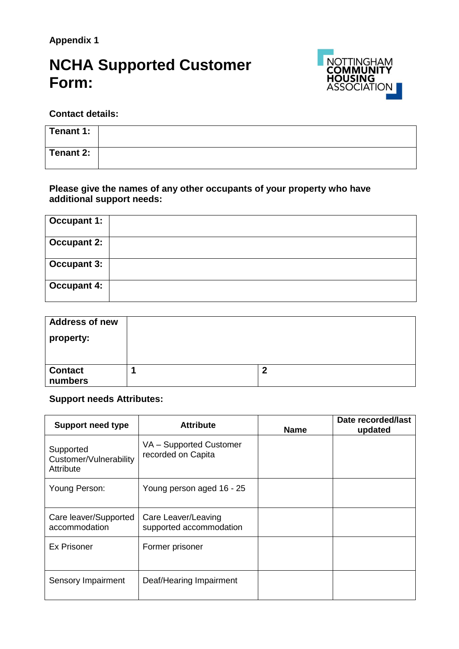**Appendix 1**

## **NCHA Supported Customer Form:**



**Contact details:**

| Tenant 1: |  |
|-----------|--|
| Tenant 2: |  |

**Please give the names of any other occupants of your property who have additional support needs:**

| <b>Occupant 1:</b> |  |
|--------------------|--|
| <b>Occupant 2:</b> |  |
| <b>Occupant 3:</b> |  |
| <b>Occupant 4:</b> |  |

| <b>Address of new</b> |   |
|-----------------------|---|
| property:             |   |
|                       |   |
|                       |   |
| <b>Contact</b>        | m |
| numbers               |   |

#### **Support needs Attributes:**

| <b>Support need type</b>                         | <b>Attribute</b>                               | <b>Name</b> | Date recorded/last<br>updated |
|--------------------------------------------------|------------------------------------------------|-------------|-------------------------------|
| Supported<br>Customer/Vulnerability<br>Attribute | VA - Supported Customer<br>recorded on Capita  |             |                               |
| Young Person:                                    | Young person aged 16 - 25                      |             |                               |
| Care leaver/Supported<br>accommodation           | Care Leaver/Leaving<br>supported accommodation |             |                               |
| <b>Ex Prisoner</b>                               | Former prisoner                                |             |                               |
| Sensory Impairment                               | Deaf/Hearing Impairment                        |             |                               |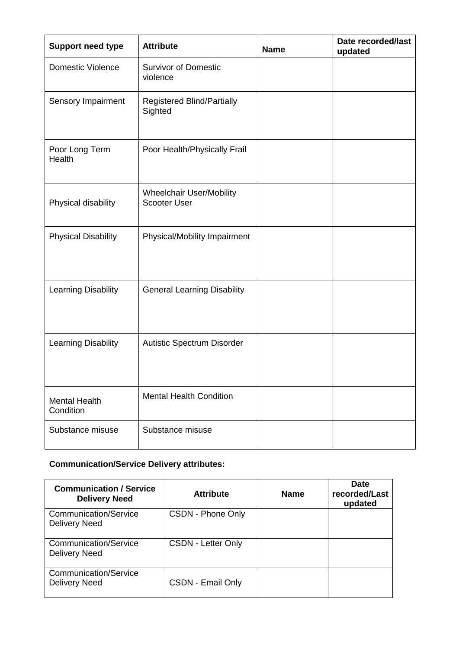| <b>Support need type</b>          | <b>Attribute</b>                                       | <b>Name</b> | Date recorded/last<br>updated |
|-----------------------------------|--------------------------------------------------------|-------------|-------------------------------|
| <b>Domestic Violence</b>          | <b>Survivor of Domestic</b><br>violence                |             |                               |
| Sensory Impairment                | <b>Registered Blind/Partially</b><br>Sighted           |             |                               |
| Poor Long Term<br>Health          | Poor Health/Physically Frail                           |             |                               |
| Physical disability               | <b>Wheelchair User/Mobility</b><br><b>Scooter User</b> |             |                               |
| <b>Physical Disability</b>        | Physical/Mobility Impairment                           |             |                               |
| <b>Learning Disability</b>        | <b>General Learning Disability</b>                     |             |                               |
| Learning Disability               | Autistic Spectrum Disorder                             |             |                               |
| <b>Mental Health</b><br>Condition | <b>Mental Health Condition</b>                         |             |                               |
| Substance misuse                  | Substance misuse                                       |             |                               |

### **Communication/Service Delivery attributes:**

| <b>Communication / Service</b><br><b>Delivery Need</b> | <b>Attribute</b>          | <b>Name</b> | <b>Date</b><br>recorded/Last<br>updated |
|--------------------------------------------------------|---------------------------|-------------|-----------------------------------------|
| <b>Communication/Service</b><br><b>Delivery Need</b>   | CSDN - Phone Only         |             |                                         |
| <b>Communication/Service</b><br><b>Delivery Need</b>   | <b>CSDN - Letter Only</b> |             |                                         |
| <b>Communication/Service</b><br><b>Delivery Need</b>   | <b>CSDN - Email Only</b>  |             |                                         |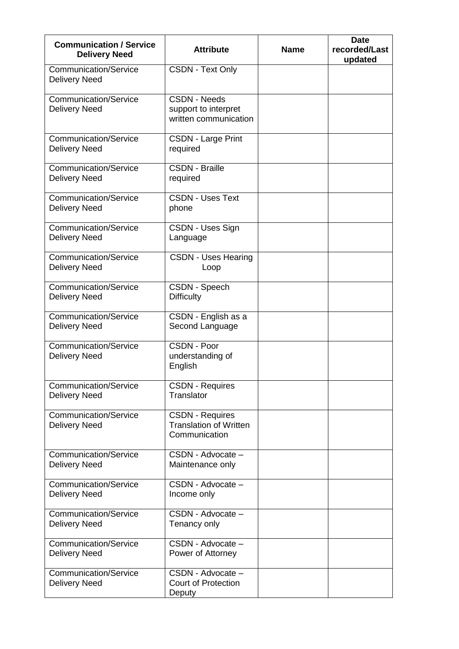| <b>Communication / Service</b><br><b>Delivery Need</b> | <b>Attribute</b>                                                         | <b>Name</b> | <b>Date</b><br>recorded/Last<br>updated |
|--------------------------------------------------------|--------------------------------------------------------------------------|-------------|-----------------------------------------|
| <b>Communication/Service</b><br><b>Delivery Need</b>   | <b>CSDN - Text Only</b>                                                  |             |                                         |
| <b>Communication/Service</b><br><b>Delivery Need</b>   | <b>CSDN - Needs</b><br>support to interpret<br>written communication     |             |                                         |
| Communication/Service<br><b>Delivery Need</b>          | <b>CSDN - Large Print</b><br>required                                    |             |                                         |
| <b>Communication/Service</b><br><b>Delivery Need</b>   | <b>CSDN - Braille</b><br>required                                        |             |                                         |
| <b>Communication/Service</b><br><b>Delivery Need</b>   | <b>CSDN - Uses Text</b><br>phone                                         |             |                                         |
| <b>Communication/Service</b><br><b>Delivery Need</b>   | CSDN - Uses Sign<br>Language                                             |             |                                         |
| <b>Communication/Service</b><br><b>Delivery Need</b>   | <b>CSDN - Uses Hearing</b><br>Loop                                       |             |                                         |
| <b>Communication/Service</b><br><b>Delivery Need</b>   | CSDN - Speech<br><b>Difficulty</b>                                       |             |                                         |
| <b>Communication/Service</b><br><b>Delivery Need</b>   | CSDN - English as a<br>Second Language                                   |             |                                         |
| <b>Communication/Service</b><br><b>Delivery Need</b>   | CSDN - Poor<br>understanding of<br>English                               |             |                                         |
| <b>Communication/Service</b><br><b>Delivery Need</b>   | <b>CSDN - Requires</b><br>Translator                                     |             |                                         |
| <b>Communication/Service</b><br><b>Delivery Need</b>   | <b>CSDN - Requires</b><br><b>Translation of Written</b><br>Communication |             |                                         |
| <b>Communication/Service</b><br><b>Delivery Need</b>   | CSDN - Advocate -<br>Maintenance only                                    |             |                                         |
| <b>Communication/Service</b><br><b>Delivery Need</b>   | CSDN - Advocate -<br>Income only                                         |             |                                         |
| <b>Communication/Service</b><br><b>Delivery Need</b>   | CSDN - Advocate -<br>Tenancy only                                        |             |                                         |
| <b>Communication/Service</b><br><b>Delivery Need</b>   | CSDN - Advocate -<br>Power of Attorney                                   |             |                                         |
| <b>Communication/Service</b><br><b>Delivery Need</b>   | CSDN - Advocate -<br><b>Court of Protection</b><br>Deputy                |             |                                         |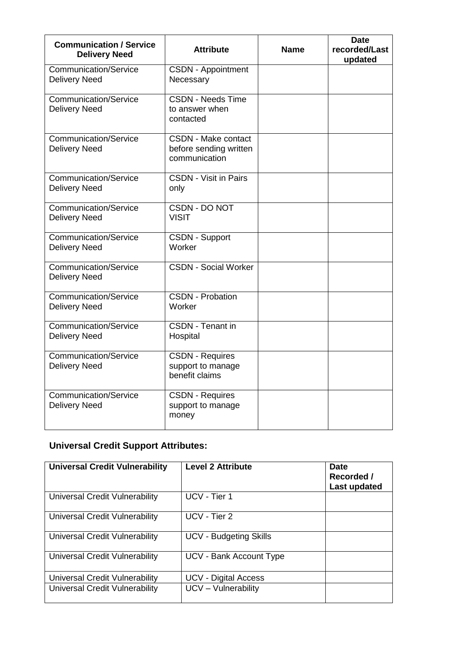| <b>Communication / Service</b><br><b>Delivery Need</b> | <b>Attribute</b>                                                      | Name | <b>Date</b><br>recorded/Last<br>updated |
|--------------------------------------------------------|-----------------------------------------------------------------------|------|-----------------------------------------|
| <b>Communication/Service</b><br><b>Delivery Need</b>   | <b>CSDN - Appointment</b><br>Necessary                                |      |                                         |
| <b>Communication/Service</b><br><b>Delivery Need</b>   | <b>CSDN - Needs Time</b><br>to answer when<br>contacted               |      |                                         |
| <b>Communication/Service</b><br><b>Delivery Need</b>   | <b>CSDN - Make contact</b><br>before sending written<br>communication |      |                                         |
| <b>Communication/Service</b><br><b>Delivery Need</b>   | <b>CSDN - Visit in Pairs</b><br>only                                  |      |                                         |
| Communication/Service<br><b>Delivery Need</b>          | <b>CSDN - DO NOT</b><br><b>VISIT</b>                                  |      |                                         |
| <b>Communication/Service</b><br><b>Delivery Need</b>   | <b>CSDN - Support</b><br>Worker                                       |      |                                         |
| Communication/Service<br><b>Delivery Need</b>          | <b>CSDN - Social Worker</b>                                           |      |                                         |
| <b>Communication/Service</b><br><b>Delivery Need</b>   | <b>CSDN - Probation</b><br>Worker                                     |      |                                         |
| <b>Communication/Service</b><br><b>Delivery Need</b>   | <b>CSDN</b> - Tenant in<br>Hospital                                   |      |                                         |
| <b>Communication/Service</b><br><b>Delivery Need</b>   | <b>CSDN - Requires</b><br>support to manage<br>benefit claims         |      |                                         |
| <b>Communication/Service</b><br><b>Delivery Need</b>   | <b>CSDN - Requires</b><br>support to manage<br>money                  |      |                                         |

### **Universal Credit Support Attributes:**

| <b>Universal Credit Vulnerability</b> | <b>Level 2 Attribute</b>      | <b>Date</b><br>Recorded /<br>Last updated |
|---------------------------------------|-------------------------------|-------------------------------------------|
| Universal Credit Vulnerability        | UCV - Tier 1                  |                                           |
| Universal Credit Vulnerability        | UCV - Tier 2                  |                                           |
| Universal Credit Vulnerability        | <b>UCV - Budgeting Skills</b> |                                           |
| Universal Credit Vulnerability        | UCV - Bank Account Type       |                                           |
| Universal Credit Vulnerability        | <b>UCV - Digital Access</b>   |                                           |
| Universal Credit Vulnerability        | UCV - Vulnerability           |                                           |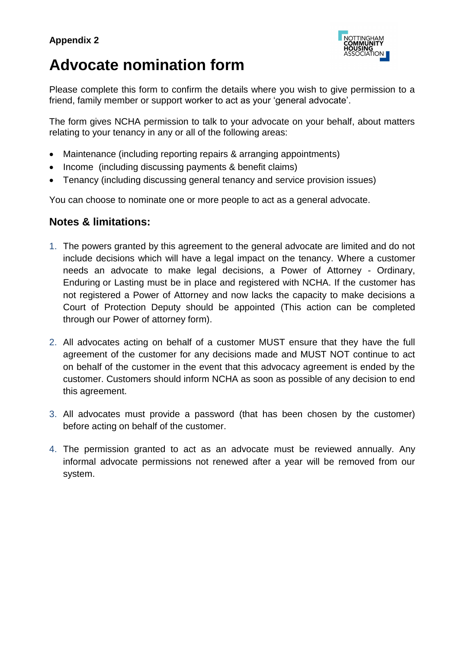

## **Advocate nomination form**

Please complete this form to confirm the details where you wish to give permission to a friend, family member or support worker to act as your 'general advocate'.

The form gives NCHA permission to talk to your advocate on your behalf, about matters relating to your tenancy in any or all of the following areas:

- Maintenance (including reporting repairs & arranging appointments)
- Income (including discussing payments & benefit claims)
- Tenancy (including discussing general tenancy and service provision issues)

You can choose to nominate one or more people to act as a general advocate.

#### **Notes & limitations:**

- 1. The powers granted by this agreement to the general advocate are limited and do not include decisions which will have a legal impact on the tenancy. Where a customer needs an advocate to make legal decisions, a Power of Attorney - Ordinary, Enduring or Lasting must be in place and registered with NCHA. If the customer has not registered a Power of Attorney and now lacks the capacity to make decisions a Court of Protection Deputy should be appointed (This action can be completed through our Power of attorney form).
- 2. All advocates acting on behalf of a customer MUST ensure that they have the full agreement of the customer for any decisions made and MUST NOT continue to act on behalf of the customer in the event that this advocacy agreement is ended by the customer. Customers should inform NCHA as soon as possible of any decision to end this agreement.
- 3. All advocates must provide a password (that has been chosen by the customer) before acting on behalf of the customer.
- 4. The permission granted to act as an advocate must be reviewed annually. Any informal advocate permissions not renewed after a year will be removed from our system.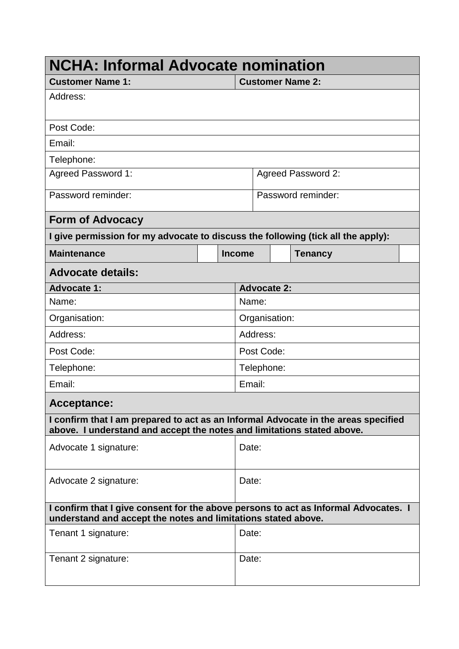| <b>NCHA: Informal Advocate nomination</b>                                                                                                                    |               |                    |                    |                           |  |  |
|--------------------------------------------------------------------------------------------------------------------------------------------------------------|---------------|--------------------|--------------------|---------------------------|--|--|
| <b>Customer Name 1:</b>                                                                                                                                      |               |                    |                    | <b>Customer Name 2:</b>   |  |  |
| Address:                                                                                                                                                     |               |                    |                    |                           |  |  |
| Post Code:                                                                                                                                                   |               |                    |                    |                           |  |  |
| Email:                                                                                                                                                       |               |                    |                    |                           |  |  |
| Telephone:                                                                                                                                                   |               |                    |                    |                           |  |  |
| <b>Agreed Password 1:</b>                                                                                                                                    |               |                    |                    | <b>Agreed Password 2:</b> |  |  |
| Password reminder:                                                                                                                                           |               |                    | Password reminder: |                           |  |  |
| <b>Form of Advocacy</b>                                                                                                                                      |               |                    |                    |                           |  |  |
| I give permission for my advocate to discuss the following (tick all the apply):                                                                             |               |                    |                    |                           |  |  |
| <b>Maintenance</b>                                                                                                                                           | <b>Income</b> |                    |                    | <b>Tenancy</b>            |  |  |
| <b>Advocate details:</b>                                                                                                                                     |               |                    |                    |                           |  |  |
| <b>Advocate 1:</b>                                                                                                                                           |               | <b>Advocate 2:</b> |                    |                           |  |  |
| Name:                                                                                                                                                        |               | Name:              |                    |                           |  |  |
| Organisation:                                                                                                                                                |               | Organisation:      |                    |                           |  |  |
| Address:                                                                                                                                                     |               | Address:           |                    |                           |  |  |
| Post Code:                                                                                                                                                   |               | Post Code:         |                    |                           |  |  |
| Telephone:                                                                                                                                                   |               | Telephone:         |                    |                           |  |  |
| Email:                                                                                                                                                       |               | Email:             |                    |                           |  |  |
| <b>Acceptance:</b>                                                                                                                                           |               |                    |                    |                           |  |  |
| I confirm that I am prepared to act as an Informal Advocate in the areas specified<br>above. I understand and accept the notes and limitations stated above. |               |                    |                    |                           |  |  |
| Advocate 1 signature:                                                                                                                                        |               | Date:              |                    |                           |  |  |
| Advocate 2 signature:                                                                                                                                        |               | Date:              |                    |                           |  |  |
| I confirm that I give consent for the above persons to act as Informal Advocates. I<br>understand and accept the notes and limitations stated above.         |               |                    |                    |                           |  |  |
| Tenant 1 signature:                                                                                                                                          |               | Date:              |                    |                           |  |  |
| Tenant 2 signature:                                                                                                                                          |               | Date:              |                    |                           |  |  |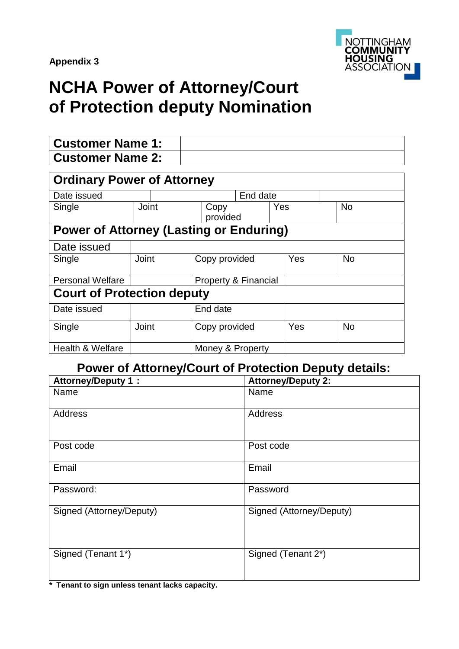

## **NCHA Power of Attorney/Court of Protection deputy Nomination**

| <b>Customer Name 1:</b>                        |          |                      |               |     |           |
|------------------------------------------------|----------|----------------------|---------------|-----|-----------|
| <b>Customer Name 2:</b>                        |          |                      |               |     |           |
| <b>Ordinary Power of Attorney</b>              |          |                      |               |     |           |
| Date issued                                    | End date |                      |               |     |           |
| Single                                         | Joint    | Copy<br>provided     |               | Yes | <b>No</b> |
| <b>Power of Attorney (Lasting or Enduring)</b> |          |                      |               |     |           |
| Date issued                                    |          |                      |               |     |           |
| Single                                         | Joint    | Copy provided        |               | Yes | <b>No</b> |
| <b>Personal Welfare</b>                        |          | Property & Financial |               |     |           |
| <b>Court of Protection deputy</b>              |          |                      |               |     |           |
| Date issued                                    |          | End date             |               |     |           |
| Single                                         | Joint    |                      | Copy provided |     | <b>No</b> |
| <b>Health &amp; Welfare</b>                    |          | Money & Property     |               |     |           |

### **Power of Attorney/Court of Protection Deputy details:**

| <b>Attorney/Deputy 1:</b> | <b>Attorney/Deputy 2:</b> |
|---------------------------|---------------------------|
| Name                      | Name                      |
| Address                   | <b>Address</b>            |
| Post code                 | Post code                 |
| Email                     | Email                     |
| Password:                 | Password                  |
| Signed (Attorney/Deputy)  | Signed (Attorney/Deputy)  |
| Signed (Tenant 1*)        | Signed (Tenant 2*)        |

**\* Tenant to sign unless tenant lacks capacity.**